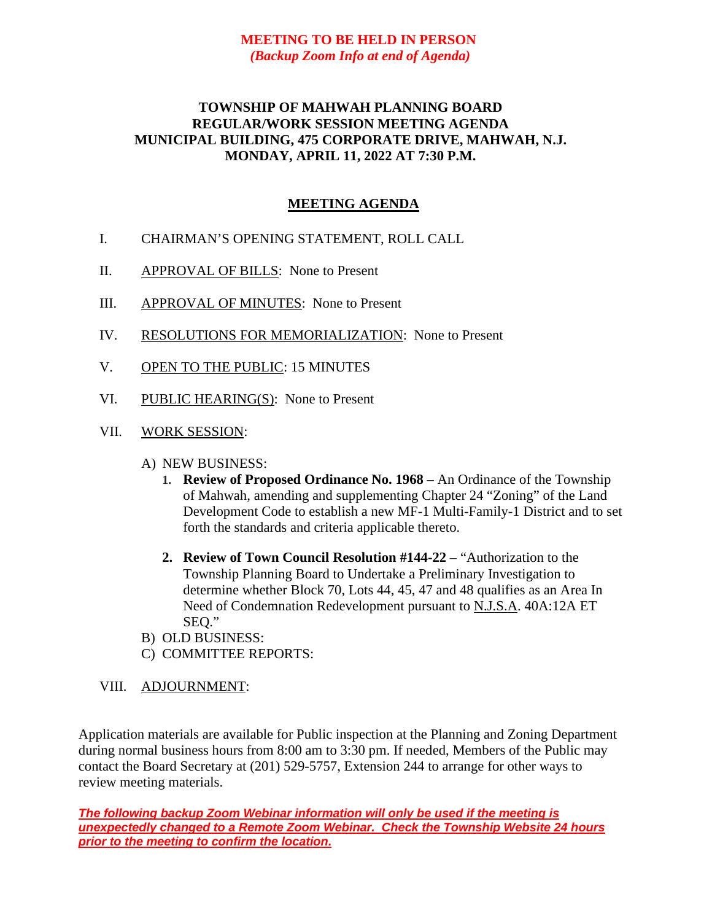## **MEETING TO BE HELD IN PERSON** *(Backup Zoom Info at end of Agenda)*

## **TOWNSHIP OF MAHWAH PLANNING BOARD REGULAR/WORK SESSION MEETING AGENDA MUNICIPAL BUILDING, 475 CORPORATE DRIVE, MAHWAH, N.J. MONDAY, APRIL 11, 2022 AT 7:30 P.M.**

## **MEETING AGENDA**

- I. CHAIRMAN'S OPENING STATEMENT, ROLL CALL
- II. APPROVAL OF BILLS: None to Present
- III. APPROVAL OF MINUTES: None to Present
- IV. RESOLUTIONS FOR MEMORIALIZATION: None to Present
- V. OPEN TO THE PUBLIC: 15 MINUTES
- VI. PUBLIC HEARING(S): None to Present
- VII. WORK SESSION:
	- A) NEW BUSINESS:
		- **1. Review of Proposed Ordinance No. 1968** An Ordinance of the Township of Mahwah, amending and supplementing Chapter 24 "Zoning" of the Land Development Code to establish a new MF-1 Multi-Family-1 District and to set forth the standards and criteria applicable thereto.
		- **2. Review of Town Council Resolution #144-22** "Authorization to the Township Planning Board to Undertake a Preliminary Investigation to determine whether Block 70, Lots 44, 45, 47 and 48 qualifies as an Area In Need of Condemnation Redevelopment pursuant to N.J.S.A. 40A:12A ET SEQ."
	- B) OLD BUSINESS:
	- C) COMMITTEE REPORTS:
- VIII. ADJOURNMENT:

Application materials are available for Public inspection at the Planning and Zoning Department during normal business hours from 8:00 am to 3:30 pm. If needed, Members of the Public may contact the Board Secretary at (201) 529-5757, Extension 244 to arrange for other ways to review meeting materials.

*The following backup Zoom Webinar information will only be used if the meeting is unexpectedly changed to a Remote Zoom Webinar. Check the Township Website 24 hours prior to the meeting to confirm the location.*